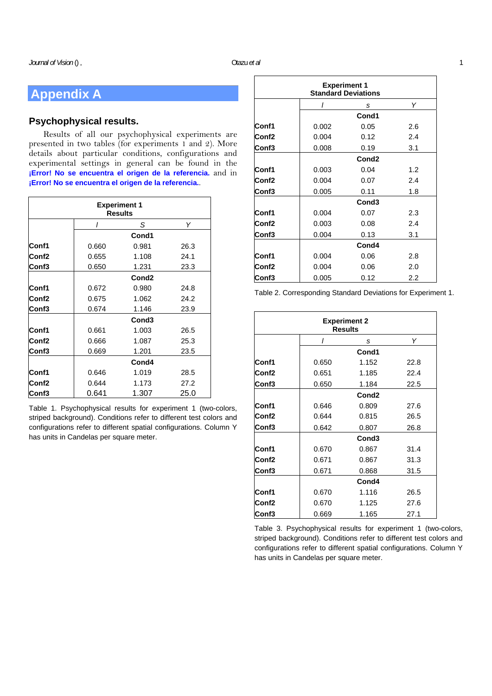## **Appendix A**

## **Psychophysical results.**

Results of all our psychophysical experiments are presented in two tables (for experiments 1 and 2). More details about particular conditions, configurations and experimental settings in general can be found in the **¡Error! No se encuentra el origen de la referencia.** and in **¡Error! No se encuentra el origen de la referencia.**.

| <b>Experiment 1</b><br><b>Results</b> |       |                   |      |  |  |
|---------------------------------------|-------|-------------------|------|--|--|
|                                       |       | S                 | Υ    |  |  |
|                                       |       | Cond1             |      |  |  |
| Conf1                                 | 0.660 | 0.981             | 26.3 |  |  |
| Conf <sub>2</sub>                     | 0.655 | 1.108             | 24.1 |  |  |
| Conf <sub>3</sub>                     | 0.650 | 1.231             | 23.3 |  |  |
|                                       |       | Cond <sub>2</sub> |      |  |  |
| Conf1                                 | 0.672 | 0.980             | 24.8 |  |  |
| Conf2                                 | 0.675 | 1.062             | 24.2 |  |  |
| Conf3                                 | 0.674 | 1.146             | 23.9 |  |  |
|                                       |       | Cond <sub>3</sub> |      |  |  |
| Conf1                                 | 0.661 | 1.003             | 26.5 |  |  |
| Conf <sub>2</sub>                     | 0.666 | 1.087             | 25.3 |  |  |
| Conf <sub>3</sub>                     | 0.669 | 1.201             | 23.5 |  |  |
|                                       |       | Cond4             |      |  |  |
| Conf1                                 | 0.646 | 1.019             | 28.5 |  |  |
| Conf2                                 | 0.644 | 1.173             | 27.2 |  |  |
| Conf <sub>3</sub>                     | 0.641 | 1.307             | 25.0 |  |  |

Table 1. Psychophysical results for experiment 1 (two-colors, striped background). Conditions refer to different test colors and configurations refer to different spatial configurations. Column Y has units in Candelas per square meter.

| <b>Experiment 1</b><br><b>Standard Deviations</b> |                   |                   |     |  |  |
|---------------------------------------------------|-------------------|-------------------|-----|--|--|
|                                                   | ı                 | S                 | Υ   |  |  |
|                                                   |                   | Cond1             |     |  |  |
| Conf1                                             | 0.002             | 0.05              | 2.6 |  |  |
| Conf <sub>2</sub>                                 | 0.004             | 0.12              | 2.4 |  |  |
| Conf3                                             | 0.008             | 0.19              | 3.1 |  |  |
|                                                   | Cond <sub>2</sub> |                   |     |  |  |
| Conf1                                             | 0.003             | 0.04              | 1.2 |  |  |
| Conf2                                             | 0.004             | 0.07              | 2.4 |  |  |
| Conf3                                             | 0.005             | 0.11              | 1.8 |  |  |
|                                                   |                   | Cond <sub>3</sub> |     |  |  |
| Conf1                                             | 0.004             | 0.07              | 2.3 |  |  |
| Conf <sub>2</sub>                                 | 0.003             | 0.08              | 2.4 |  |  |
| Conf3                                             | 0.004             | 0.13              | 3.1 |  |  |
|                                                   | Cond4             |                   |     |  |  |
| Conf1                                             | 0.004             | 0.06              | 2.8 |  |  |
| Conf <sub>2</sub>                                 | 0.004             | 0.06              | 2.0 |  |  |
| Conf3                                             | 0.005             | 0.12              | 2.2 |  |  |

Table 2. Corresponding Standard Deviations for Experiment 1.

| <b>Experiment 2</b><br><b>Results</b> |       |                   |      |  |  |
|---------------------------------------|-------|-------------------|------|--|--|
|                                       | ı     | s                 | Υ    |  |  |
|                                       |       | Cond1             |      |  |  |
| Conf1                                 | 0.650 | 1.152             | 22.8 |  |  |
| Conf <sub>2</sub>                     | 0.651 | 1.185             | 22.4 |  |  |
| Conf3                                 | 0.650 | 1.184             | 22.5 |  |  |
|                                       |       | Cond <sub>2</sub> |      |  |  |
| Conf1                                 | 0.646 | 0.809             | 27.6 |  |  |
| Conf <sub>2</sub>                     | 0.644 | 0.815             | 26.5 |  |  |
| Conf3                                 | 0.642 | 0.807             | 26.8 |  |  |
|                                       |       | Cond <sub>3</sub> |      |  |  |
| Conf1                                 | 0.670 | 0.867             | 31.4 |  |  |
| Conf <sub>2</sub>                     | 0.671 | 0.867             | 31.3 |  |  |
| Conf3                                 | 0.671 | 0.868             | 31.5 |  |  |
|                                       |       | Cond4             |      |  |  |
| Conf1                                 | 0.670 | 1.116             | 26.5 |  |  |
| Conf <sub>2</sub>                     | 0.670 | 1.125             | 27.6 |  |  |
| Conf3                                 | 0.669 | 1.165             | 27.1 |  |  |

Table 3. Psychophysical results for experiment 1 (two-colors, striped background). Conditions refer to different test colors and configurations refer to different spatial configurations. Column Y has units in Candelas per square meter.